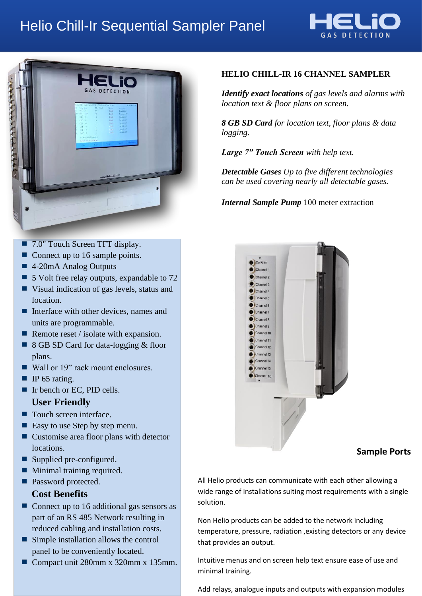# Helio Chill-Ir Sequential Sampler Panel





#### ■ 7.0" Touch Screen TFT display.

- Connect up to 16 sample points.
- 4-20mA Analog Outputs
- 5 Volt free relay outputs, expandable to 72
- Visual indication of gas levels, status and location.
- Interface with other devices, names and units are programmable.
- Remote reset / isolate with expansion.
- 8 GB SD Card for data-logging & floor plans.
- Wall or 19" rack mount enclosures.
- $\blacksquare$  IP 65 rating.
- Ir bench or EC, PID cells.

### **User Friendly**

- Touch screen interface.
- Easy to use Step by step menu.
- Customise area floor plans with detector locations.
- Supplied pre-configured.
- **Minimal training required.**
- **Password protected.**

### **Cost Benefits**

- Connect up to 16 additional gas sensors as part of an RS 485 Network resulting in reduced cabling and installation costs.
- Simple installation allows the control panel to be conveniently located.
- Compact unit 280mm x 320mm x 135mm.

## **HELIO CHILL-IR 16 CHANNEL SAMPLER**

*Identify exact locations of gas levels and alarms with location text & floor plans on screen.*

*8 GB SD Card for location text, floor plans & data logging.*

*Large 7" Touch Screen with help text.*

*Detectable Gases Up to five different technologies can be used covering nearly all detectable gases.*

*Internal Sample Pump* 100 meter extraction



### **Sample Ports**

All Helio products can communicate with each other allowing a wide range of installations suiting most requirements with a single solution.

Non Helio products can be added to the network including temperature, pressure, radiation ,existing detectors or any device that provides an output.

Intuitive menus and on screen help text ensure ease of use and minimal training.

Add relays, analogue inputs and outputs with expansion modules